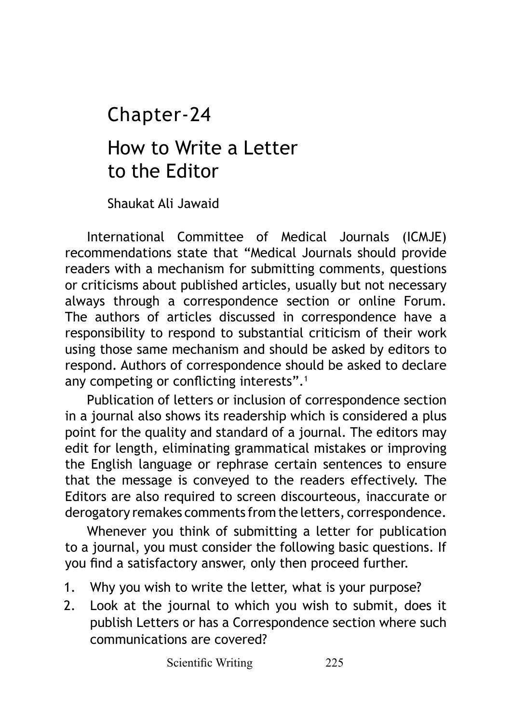# How to Write a Letter to the Editor Chapter-24

Shaukat Ali Jawaid

International Committee of Medical Journals (ICMJE) recommendations state that "Medical Journals should provide readers with a mechanism for submitting comments, questions or criticisms about published articles, usually but not necessary always through a correspondence section or online Forum. The authors of articles discussed in correspondence have a responsibility to respond to substantial criticism of their work using those same mechanism and should be asked by editors to respond. Authors of correspondence should be asked to declare any competing or conflicting interests".<sup>1</sup>

Publication of letters or inclusion of correspondence section in a journal also shows its readership which is considered a plus point for the quality and standard of a journal. The editors may edit for length, eliminating grammatical mistakes or improving the English language or rephrase certain sentences to ensure that the message is conveyed to the readers effectively. The Editors are also required to screen discourteous, inaccurate or derogatory remakes comments from the letters, correspondence.

Whenever you think of submitting a letter for publication to a journal, you must consider the following basic questions. If you find a satisfactory answer, only then proceed further.

- 1. Why you wish to write the letter, what is your purpose?
- 2. Look at the journal to which you wish to submit, does it publish Letters or has a Correspondence section where such communications are covered?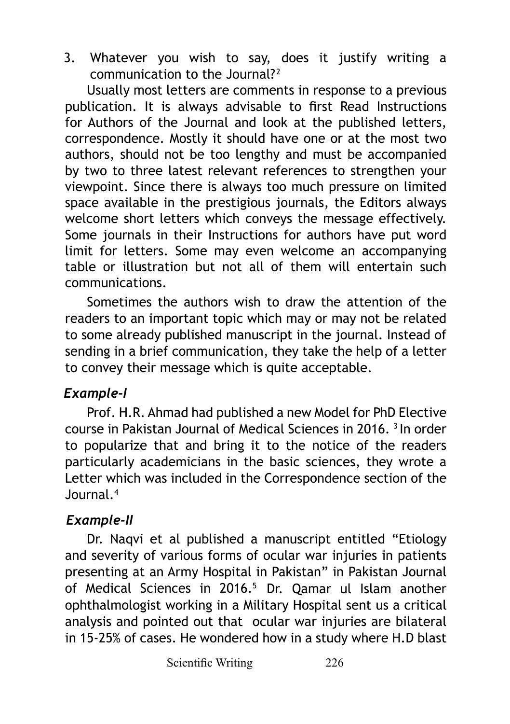3. Whatever you wish to say, does it justify writing a communication to the Journal? <sup>2</sup>

Usually most letters are comments in response to a previous publication. It is always advisable to first Read Instructions for Authors of the Journal and look at the published letters, correspondence. Mostly it should have one or at the most two authors, should not be too lengthy and must be accompanied by two to three latest relevant references to strengthen your viewpoint. Since there is always too much pressure on limited space available in the prestigious journals, the Editors always welcome short letters which conveys the message effectively. Some journals in their Instructions for authors have put word limit for letters. Some may even welcome an accompanying table or illustration but not all of them will entertain such communications.

Sometimes the authors wish to draw the attention of the readers to an important topic which may or may not be related to some already published manuscript in the journal. Instead of sending in a brief communication, they take the help of a letter to convey their message which is quite acceptable.

#### *Example-I*

Prof. H.R. Ahmad had published a new Model for PhD Elective course in Pakistan Journal of Medical Sciences in 2016. 3 In order to popularize that and bring it to the notice of the readers particularly academicians in the basic sciences, they wrote a Letter which was included in the Correspondence section of the Journal.4

## *Example-II*

Dr. Naqvi et al published a manuscript entitled "Etiology and severity of various forms of ocular war injuries in patients presenting at an Army Hospital in Pakistan" in Pakistan Journal of Medical Sciences in 2016.<sup>5</sup> Dr. Qamar ul Islam another ophthalmologist working in a Military Hospital sent us a critical analysis and pointed out that ocular war injuries are bilateral in 15-25% of cases. He wondered how in a study where H.D blast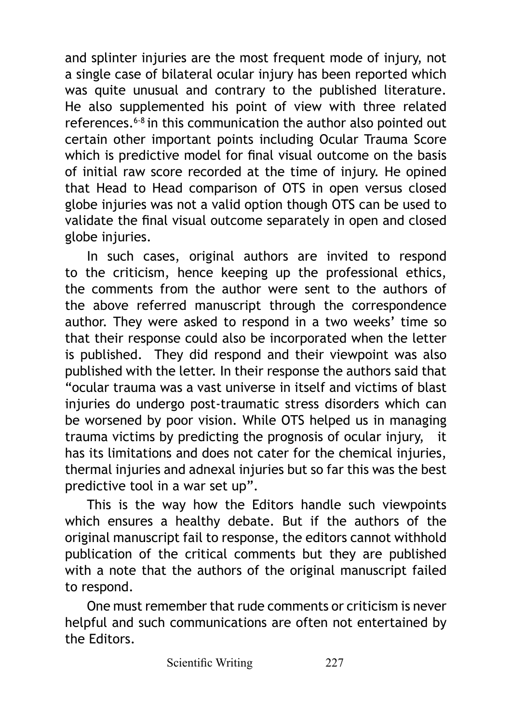and splinter injuries are the most frequent mode of injury, not a single case of bilateral ocular injury has been reported which was quite unusual and contrary to the published literature. He also supplemented his point of view with three related references.6-8 in this communication the author also pointed out certain other important points including Ocular Trauma Score which is predictive model for final visual outcome on the basis of initial raw score recorded at the time of injury. He opined that Head to Head comparison of OTS in open versus closed globe injuries was not a valid option though OTS can be used to validate the final visual outcome separately in open and closed globe injuries.

In such cases, original authors are invited to respond to the criticism, hence keeping up the professional ethics, the comments from the author were sent to the authors of the above referred manuscript through the correspondence author. They were asked to respond in a two weeks' time so that their response could also be incorporated when the letter is published. They did respond and their viewpoint was also published with the letter. In their response the authors said that "ocular trauma was a vast universe in itself and victims of blast iniuries do undergo post-traumatic stress disorders which can be worsened by poor vision. While OTS helped us in managing trauma victims by predicting the prognosis of ocular injury, it has its limitations and does not cater for the chemical injuries. thermal injuries and adnexal injuries but so far this was the best predictive tool in a war set up".

This is the way how the Editors handle such viewpoints which ensures a healthy debate. But if the authors of the original manuscript fail to response, the editors cannot withhold publication of the critical comments but they are published with a note that the authors of the original manuscript failed to respond.

One must remember that rude comments or criticism is never helpful and such communications are often not entertained by the Editors.